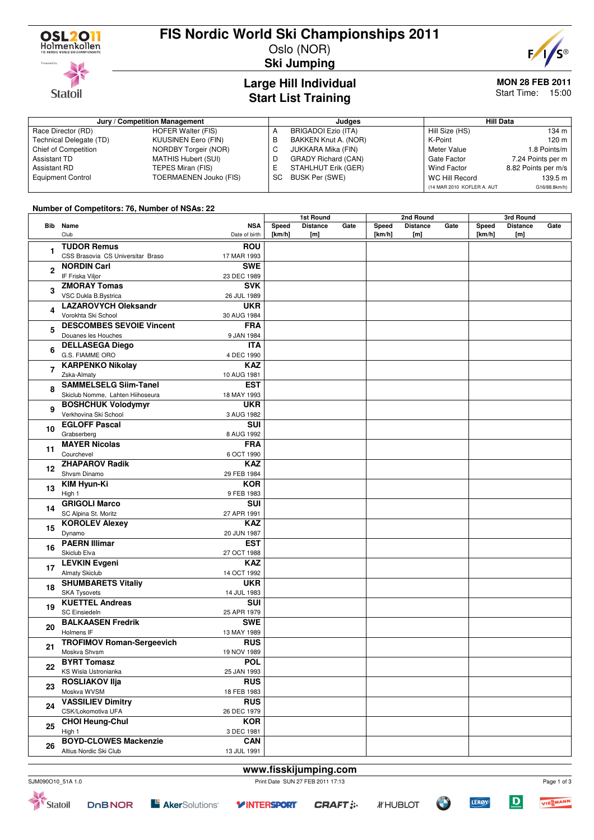

**Statoil** 

### **FIS Nordic World Ski Championships 2011**

Oslo (NOR) **Ski Jumping**



### **Large Hill Individual Start List Training**

#### **MON 28 FEB 2011** Start Time: 15:00

**Jury / Competition Management Judges Hill Data** A BRIGADOI Ezio (ITA) B BAKKEN Knut A. (NOR) Hill Size (HS) 134 m K-Point 120 m

| Race Director (RD)       | HOFER Walter (FIS)            |    | BRIGADOI Ezio (ITA)        | Hill Size (HS)             | 134 m               |
|--------------------------|-------------------------------|----|----------------------------|----------------------------|---------------------|
| Technical Delegate (TD)  | <b>KUUSINEN Eero (FIN)</b>    |    | BAKKEN Knut A. (NOR)       | K-Point                    | 120 m               |
| Chief of Competition     | NORDBY Torgeir (NOR)          |    | JUKKARA Mika (FIN)         | Meter Value                | 1.8 Points/m        |
| Assistant TD             | MATHIS Hubert (SUI)           |    | <b>GRADY Richard (CAN)</b> | Gate Factor                | 7.24 Points per m   |
| Assistant RD             | TEPES Miran (FIS)             |    | STAHLHUT Erik (GER)        | Wind Factor                | 8.82 Points per m/s |
| <b>Equipment Control</b> | <b>TOERMAENEN Jouko (FIS)</b> | SC | BUSK Per (SWE)             | WC Hill Record             | 139.5 m             |
|                          |                               |    |                            | (14 MAR 2010 KOFLER A. AUT | G16/88.8km/h)       |

#### **Number of Competitors: 76, Number of NSAs: 22**

|              |                                   |               | 1st Round |                 |      |        | 2nd Round       |      | 3rd Round |                 |      |
|--------------|-----------------------------------|---------------|-----------|-----------------|------|--------|-----------------|------|-----------|-----------------|------|
|              | <b>Bib</b> Name                   | <b>NSA</b>    | Speed     | <b>Distance</b> | Gate | Speed  | <b>Distance</b> | Gate | Speed     | <b>Distance</b> | Gate |
|              | Club                              | Date of birth | [km/h]    | [m]             |      | [km/h] | [m]             |      | [km/h]    | [m]             |      |
| 1            | <b>TUDOR Remus</b>                | <b>ROU</b>    |           |                 |      |        |                 |      |           |                 |      |
|              | CSS Brasovia CS Universitar Braso | 17 MAR 1993   |           |                 |      |        |                 |      |           |                 |      |
| $\mathbf{2}$ | <b>NORDIN Carl</b>                | <b>SWE</b>    |           |                 |      |        |                 |      |           |                 |      |
|              | IF Friska Viljor                  | 23 DEC 1989   |           |                 |      |        |                 |      |           |                 |      |
|              | <b>ZMORAY Tomas</b>               | <b>SVK</b>    |           |                 |      |        |                 |      |           |                 |      |
| 3            | VSC Dukla B.Bystrica              | 26 JUL 1989   |           |                 |      |        |                 |      |           |                 |      |
|              | <b>LAZAROVYCH Oleksandr</b>       | <b>UKR</b>    |           |                 |      |        |                 |      |           |                 |      |
| 4            | Vorokhta Ski School               | 30 AUG 1984   |           |                 |      |        |                 |      |           |                 |      |
|              | <b>DESCOMBES SEVOIE Vincent</b>   | <b>FRA</b>    |           |                 |      |        |                 |      |           |                 |      |
| 5            | Douanes les Houches               | 9 JAN 1984    |           |                 |      |        |                 |      |           |                 |      |
|              | <b>DELLASEGA Diego</b>            | <b>ITA</b>    |           |                 |      |        |                 |      |           |                 |      |
| 6            | G.S. FIAMME ORO                   | 4 DEC 1990    |           |                 |      |        |                 |      |           |                 |      |
|              | <b>KARPENKO Nikolay</b>           | <b>KAZ</b>    |           |                 |      |        |                 |      |           |                 |      |
| 7            | Zska-Almaty                       | 10 AUG 1981   |           |                 |      |        |                 |      |           |                 |      |
|              | <b>SAMMELSELG Siim-Tanel</b>      | <b>EST</b>    |           |                 |      |        |                 |      |           |                 |      |
| 8            | Skiclub Nomme, Lahten Hiihoseura  | 18 MAY 1993   |           |                 |      |        |                 |      |           |                 |      |
|              | <b>BOSHCHUK Volodymyr</b>         | <b>UKR</b>    |           |                 |      |        |                 |      |           |                 |      |
| 9            | Verkhovina Ski School             | 3 AUG 1982    |           |                 |      |        |                 |      |           |                 |      |
|              | <b>EGLOFF Pascal</b>              | SUI           |           |                 |      |        |                 |      |           |                 |      |
| 10           | Grabserberg                       | 8 AUG 1992    |           |                 |      |        |                 |      |           |                 |      |
|              | <b>MAYER Nicolas</b>              | <b>FRA</b>    |           |                 |      |        |                 |      |           |                 |      |
| 11           | Courchevel                        | 6 OCT 1990    |           |                 |      |        |                 |      |           |                 |      |
|              | <b>ZHAPAROV Radik</b>             | <b>KAZ</b>    |           |                 |      |        |                 |      |           |                 |      |
| 12           | Shvsm Dinamo                      | 29 FEB 1984   |           |                 |      |        |                 |      |           |                 |      |
|              | <b>KIM Hyun-Ki</b>                | <b>KOR</b>    |           |                 |      |        |                 |      |           |                 |      |
| 13           | High 1                            | 9 FEB 1983    |           |                 |      |        |                 |      |           |                 |      |
|              | <b>GRIGOLI Marco</b>              | SUI           |           |                 |      |        |                 |      |           |                 |      |
| 14           | SC Alpina St. Moritz              | 27 APR 1991   |           |                 |      |        |                 |      |           |                 |      |
|              | <b>KOROLEV Alexey</b>             | <b>KAZ</b>    |           |                 |      |        |                 |      |           |                 |      |
| 15           | Dynamo                            | 20 JUN 1987   |           |                 |      |        |                 |      |           |                 |      |
|              | <b>PAERN Illimar</b>              | <b>EST</b>    |           |                 |      |        |                 |      |           |                 |      |
| 16           | Skiclub Elva                      | 27 OCT 1988   |           |                 |      |        |                 |      |           |                 |      |
|              | <b>LEVKIN Evgeni</b>              | <b>KAZ</b>    |           |                 |      |        |                 |      |           |                 |      |
| 17           | <b>Almaty Skiclub</b>             | 14 OCT 1992   |           |                 |      |        |                 |      |           |                 |      |
|              | <b>SHUMBARETS Vitaliy</b>         | <b>UKR</b>    |           |                 |      |        |                 |      |           |                 |      |
| 18           | <b>SKA Tysovets</b>               | 14 JUL 1983   |           |                 |      |        |                 |      |           |                 |      |
|              | <b>KUETTEL Andreas</b>            | <b>SUI</b>    |           |                 |      |        |                 |      |           |                 |      |
| 19           | SC Einsiedeln                     | 25 APR 1979   |           |                 |      |        |                 |      |           |                 |      |
|              | <b>BALKAASEN Fredrik</b>          | <b>SWE</b>    |           |                 |      |        |                 |      |           |                 |      |
| 20           | Holmens IF                        | 13 MAY 1989   |           |                 |      |        |                 |      |           |                 |      |
|              | <b>TROFIMOV Roman-Sergeevich</b>  | <b>RUS</b>    |           |                 |      |        |                 |      |           |                 |      |
| 21           | Moskva Shvsm                      | 19 NOV 1989   |           |                 |      |        |                 |      |           |                 |      |
|              | <b>BYRT Tomasz</b>                | <b>POL</b>    |           |                 |      |        |                 |      |           |                 |      |
| 22           | KS Wisla Ustronianka              | 25 JAN 1993   |           |                 |      |        |                 |      |           |                 |      |
|              | <b>ROSLIAKOV IIja</b>             | <b>RUS</b>    |           |                 |      |        |                 |      |           |                 |      |
| 23           | Moskva WVSM                       | 18 FEB 1983   |           |                 |      |        |                 |      |           |                 |      |
|              | <b>VASSILIEV Dimitry</b>          | <b>RUS</b>    |           |                 |      |        |                 |      |           |                 |      |
| 24           | CSK/Lokomotiva UFA                | 26 DEC 1979   |           |                 |      |        |                 |      |           |                 |      |
|              | <b>CHOI Heung-Chul</b>            | <b>KOR</b>    |           |                 |      |        |                 |      |           |                 |      |
| 25           | High 1                            | 3 DEC 1981    |           |                 |      |        |                 |      |           |                 |      |
|              | <b>BOYD-CLOWES Mackenzie</b>      | <b>CAN</b>    |           |                 |      |        |                 |      |           |                 |      |
| 26           | Altius Nordic Ski Club            | 13 JUL 1991   |           |                 |      |        |                 |      |           |                 |      |
|              |                                   |               |           |                 |      |        |                 |      |           |                 |      |

$$
T = \text{CRAFT}:
$$



 $\overline{D}$ 

**LERØY** 

Page 1 of 3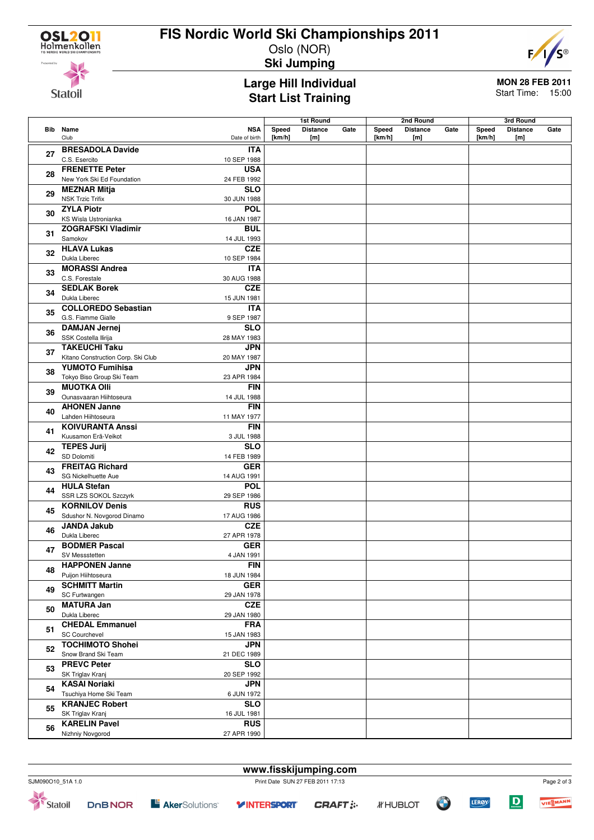

**Statoil** 

## **FIS Nordic World Ski Championships 2011**

Oslo (NOR)



**Ski Jumping**

#### **Large Hill Individual Start List Training**

**MON 28 FEB 2011** Start Time: 15:00

|    |                                                   |                             | 1st Round           |                        | 2nd Round |                 |                        | 3rd Round |                     |                        |      |
|----|---------------------------------------------------|-----------------------------|---------------------|------------------------|-----------|-----------------|------------------------|-----------|---------------------|------------------------|------|
|    | <b>Bib</b> Name<br>Club                           | <b>NSA</b><br>Date of birth | Speed<br>[ $km/h$ ] | <b>Distance</b><br>[m] | Gate      | Speed<br>[km/h] | <b>Distance</b><br>[m] | Gate      | Speed<br>[ $km/h$ ] | <b>Distance</b><br>[m] | Gate |
| 27 | <b>BRESADOLA Davide</b><br>C.S. Esercito          | <b>ITA</b><br>10 SEP 1988   |                     |                        |           |                 |                        |           |                     |                        |      |
| 28 | <b>FRENETTE Peter</b>                             | <b>USA</b>                  |                     |                        |           |                 |                        |           |                     |                        |      |
|    | New York Ski Ed Foundation<br><b>MEZNAR Mitja</b> | 24 FEB 1992<br><b>SLO</b>   |                     |                        |           |                 |                        |           |                     |                        |      |
| 29 | <b>NSK Trzic Trifix</b>                           | 30 JUN 1988                 |                     |                        |           |                 |                        |           |                     |                        |      |
|    | <b>ZYLA Piotr</b>                                 | <b>POL</b>                  |                     |                        |           |                 |                        |           |                     |                        |      |
| 30 | KS Wisla Ustronianka                              | 16 JAN 1987                 |                     |                        |           |                 |                        |           |                     |                        |      |
| 31 | <b>ZOGRAFSKI Vladimir</b><br>Samokov              | <b>BUL</b><br>14 JUL 1993   |                     |                        |           |                 |                        |           |                     |                        |      |
| 32 | <b>HLAVA Lukas</b><br>Dukla Liberec               | <b>CZE</b><br>10 SEP 1984   |                     |                        |           |                 |                        |           |                     |                        |      |
| 33 | <b>MORASSI Andrea</b>                             | <b>ITA</b>                  |                     |                        |           |                 |                        |           |                     |                        |      |
|    | C.S. Forestale                                    | 30 AUG 1988                 |                     |                        |           |                 |                        |           |                     |                        |      |
| 34 | <b>SEDLAK Borek</b>                               | <b>CZE</b>                  |                     |                        |           |                 |                        |           |                     |                        |      |
|    | Dukla Liberec<br><b>COLLOREDO Sebastian</b>       | 15 JUN 1981                 |                     |                        |           |                 |                        |           |                     |                        |      |
| 35 | G.S. Fiamme Gialle                                | <b>ITA</b><br>9 SEP 1987    |                     |                        |           |                 |                        |           |                     |                        |      |
|    | <b>DAMJAN Jernej</b>                              | <b>SLO</b>                  |                     |                        |           |                 |                        |           |                     |                        |      |
| 36 | SSK Costella Ilirija                              | 28 MAY 1983                 |                     |                        |           |                 |                        |           |                     |                        |      |
| 37 | <b>TAKEUCHI Taku</b>                              | <b>JPN</b>                  |                     |                        |           |                 |                        |           |                     |                        |      |
|    | Kitano Construction Corp. Ski Club                | 20 MAY 1987                 |                     |                        |           |                 |                        |           |                     |                        |      |
| 38 | <b>YUMOTO Fumihisa</b>                            | <b>JPN</b>                  |                     |                        |           |                 |                        |           |                     |                        |      |
|    | Tokyo Biso Group Ski Team<br><b>MUOTKA Olli</b>   | 23 APR 1984<br><b>FIN</b>   |                     |                        |           |                 |                        |           |                     |                        |      |
| 39 | Ounasvaaran Hiihtoseura                           | 14 JUL 1988                 |                     |                        |           |                 |                        |           |                     |                        |      |
| 40 | <b>AHONEN Janne</b>                               | <b>FIN</b>                  |                     |                        |           |                 |                        |           |                     |                        |      |
|    | Lahden Hiihtoseura                                | 11 MAY 1977                 |                     |                        |           |                 |                        |           |                     |                        |      |
| 41 | <b>KOIVURANTA Anssi</b>                           | <b>FIN</b>                  |                     |                        |           |                 |                        |           |                     |                        |      |
|    | Kuusamon Erä-Veikot<br><b>TEPES Jurij</b>         | 3 JUL 1988<br><b>SLO</b>    |                     |                        |           |                 |                        |           |                     |                        |      |
| 42 | SD Dolomiti                                       | 14 FEB 1989                 |                     |                        |           |                 |                        |           |                     |                        |      |
| 43 | <b>FREITAG Richard</b>                            | <b>GER</b>                  |                     |                        |           |                 |                        |           |                     |                        |      |
|    | SG Nickelhuette Aue                               | 14 AUG 1991                 |                     |                        |           |                 |                        |           |                     |                        |      |
| 44 | <b>HULA Stefan</b>                                | <b>POL</b>                  |                     |                        |           |                 |                        |           |                     |                        |      |
|    | SSR LZS SOKOL Szczyrk<br><b>KORNILOV Denis</b>    | 29 SEP 1986<br><b>RUS</b>   |                     |                        |           |                 |                        |           |                     |                        |      |
| 45 | Sdushor N. Novgorod Dinamo                        | 17 AUG 1986                 |                     |                        |           |                 |                        |           |                     |                        |      |
|    | <b>JANDA Jakub</b>                                | <b>CZE</b>                  |                     |                        |           |                 |                        |           |                     |                        |      |
| 46 | Dukla Liberec                                     | 27 APR 1978                 |                     |                        |           |                 |                        |           |                     |                        |      |
| 47 | <b>BODMER Pascal</b>                              | <b>GER</b>                  |                     |                        |           |                 |                        |           |                     |                        |      |
|    | SV Messstetten                                    | 4 JAN 1991                  |                     |                        |           |                 |                        |           |                     |                        |      |
| 48 | <b>HAPPONEN Janne</b><br>Puijon Hiihtoseura       | <b>FIN</b><br>18 JUN 1984   |                     |                        |           |                 |                        |           |                     |                        |      |
|    | <b>SCHMITT Martin</b>                             | <b>GER</b>                  |                     |                        |           |                 |                        |           |                     |                        |      |
| 49 | SC Furtwangen                                     | 29 JAN 1978                 |                     |                        |           |                 |                        |           |                     |                        |      |
| 50 | <b>MATURA Jan</b>                                 | CZE                         |                     |                        |           |                 |                        |           |                     |                        |      |
|    | Dukla Liberec                                     | 29 JAN 1980                 |                     |                        |           |                 |                        |           |                     |                        |      |
| 51 | <b>CHEDAL Emmanuel</b>                            | <b>FRA</b>                  |                     |                        |           |                 |                        |           |                     |                        |      |
|    | <b>SC Courchevel</b><br><b>TOCHIMOTO Shohei</b>   | 15 JAN 1983<br><b>JPN</b>   |                     |                        |           |                 |                        |           |                     |                        |      |
| 52 | Snow Brand Ski Team                               | 21 DEC 1989                 |                     |                        |           |                 |                        |           |                     |                        |      |
|    | <b>PREVC Peter</b>                                | <b>SLO</b>                  |                     |                        |           |                 |                        |           |                     |                        |      |
| 53 | SK Triglav Kranj                                  | 20 SEP 1992                 |                     |                        |           |                 |                        |           |                     |                        |      |
| 54 | <b>KASAI Noriaki</b>                              | <b>JPN</b>                  |                     |                        |           |                 |                        |           |                     |                        |      |
|    | Tsuchiya Home Ski Team                            | 6 JUN 1972                  |                     |                        |           |                 |                        |           |                     |                        |      |
| 55 | <b>KRANJEC Robert</b><br>SK Triglav Kranj         | <b>SLO</b><br>16 JUL 1981   |                     |                        |           |                 |                        |           |                     |                        |      |
|    | <b>KARELIN Pavel</b>                              | <b>RUS</b>                  |                     |                        |           |                 |                        |           |                     |                        |      |
| 56 | Nizhniy Novgorod                                  | 27 APR 1990                 |                     |                        |           |                 |                        |           |                     |                        |      |